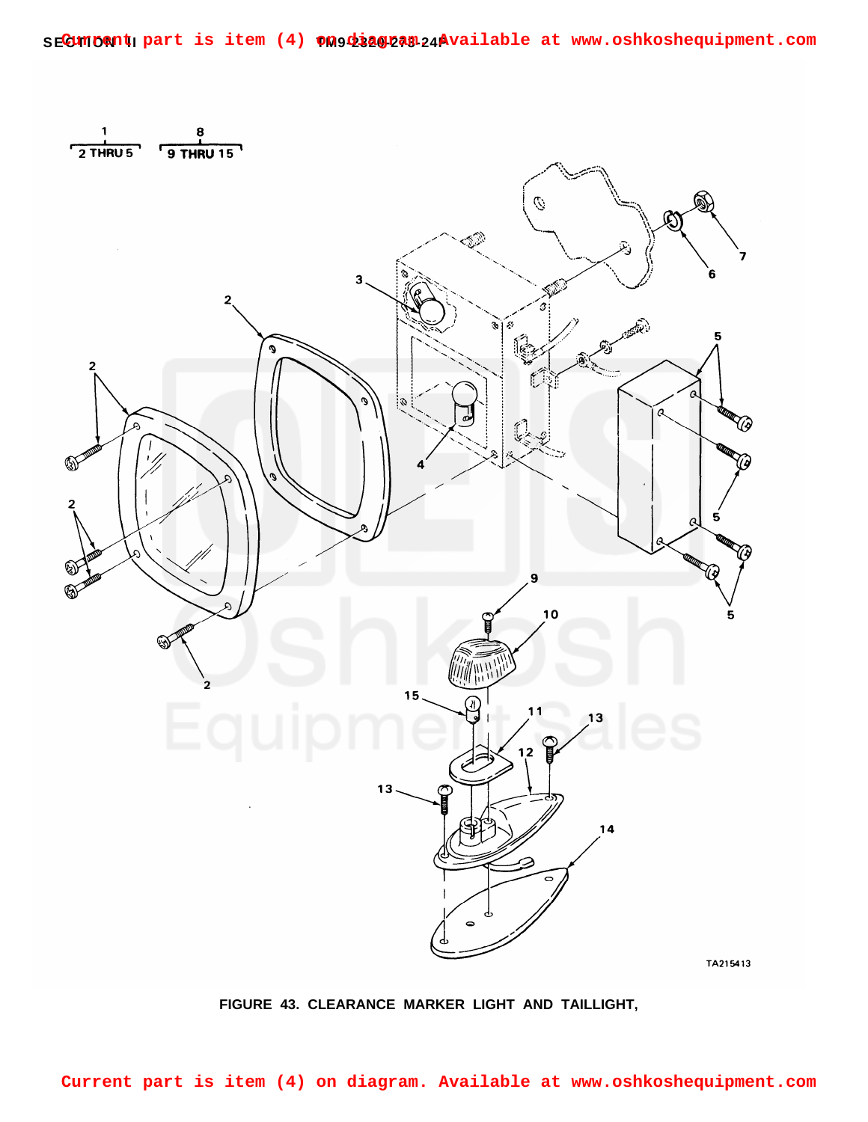

**FIGURE 43. CLEARANCE MARKER LIGHT AND TAILLIGHT,**

**Current part is item (4) on diagram. Available at www.oshkoshequipment.com**